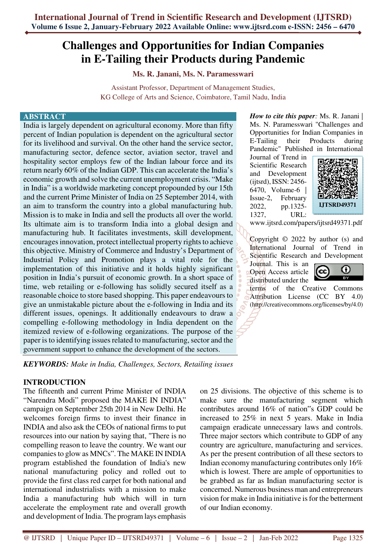# **Challenges and Opportunities for Indian Companies in E-Tailing their Products during Pandemic**

**Ms. R. Janani, Ms. N. Paramesswari**

Assistant Professor, Department of Management Studies, KG College of Arts and Science, Coimbatore, Tamil Nadu, India

#### **ABSTRACT**

India is largely dependent on agricultural economy. More than fifty percent of Indian population is dependent on the agricultural sector for its livelihood and survival. On the other hand the service sector, manufacturing sector, defence sector, aviation sector, travel and hospitality sector employs few of the Indian labour force and its return nearly 60% of the Indian GDP. This can accelerate the India's economic growth and solve the current unemployment crisis. "Make in India" is a worldwide marketing concept propounded by our 15th and the current Prime Minister of India on 25 September 2014, with an aim to transform the country into a global manufacturing hub. Mission is to make in India and sell the products all over the world. Its ultimate aim is to transform India into a global design and manufacturing hub. It facilitates investments, skill development, encourages innovation, protect intellectual property rights to achieve this objective. Ministry of Commerce and Industry's Department of Industrial Policy and Promotion plays a vital role for the implementation of this initiative and it holds highly significant position in India's pursuit of economic growth. In a short space of time, web retailing or e-following has solidly secured itself as a reasonable choice to store based shopping. This paper endeavours to give an unmistakable picture about the e-following in India and its different issues, openings. It additionally endeavours to draw a compelling e-following methodology in India dependent on the itemized review of e-following organizations. The purpose of the paper is to identifying issues related to manufacturing, sector and the government support to enhance the development of the sectors.

*How to cite this paper:* Ms. R. Janani | Ms. N. Paramesswari "Challenges and Opportunities for Indian Companies in E-Tailing their Products during Pandemic" Published in International

Journal of Trend in Scientific Research and Development (ijtsrd), ISSN: 2456- 6470, Volume-6 | Issue-2, February 2022, pp.1325- 1327, URL:



www.ijtsrd.com/papers/ijtsrd49371.pdf

Copyright © 2022 by author (s) and International Journal of Trend in Scientific Research and Development

Journal. This is an Open Access article distributed under the



terms of the Creative Commons Attribution License (CC BY 4.0) (http://creativecommons.org/licenses/by/4.0)

*KEYWORDS: Make in India, Challenges, Sectors, Retailing issues* 

## **INTRODUCTION**

The fifteenth and current Prime Minister of INDIA "Narendra Modi" proposed the MAKE IN INDIA" campaign on September 25th 2014 in New Delhi. He welcomes foreign firms to invest their finance in INDIA and also ask the CEOs of national firms to put resources into our nation by saying that, "There is no compelling reason to leave the country. We want our companies to glow as MNCs". The MAKE IN INDIA program established the foundation of India's new national manufacturing policy and rolled out to provide the first class red carpet for both national and international industrialists with a mission to make India a manufacturing hub which will in turn accelerate the employment rate and overall growth and development of India. The program lays emphasis

on 25 divisions. The objective of this scheme is to make sure the manufacturing segment which contributes around 16% of nation"s GDP could be increased to 25% in next 5 years. Make in India campaign eradicate unnecessary laws and controls. Three major sectors which contribute to GDP of any country are agriculture, manufacturing and services. As per the present contribution of all these sectors to Indian economy manufacturing contributes only 16% which is lowest. There are ample of opportunities to be grabbed as far as Indian manufacturing sector is concerned. Numerous business man and entrepreneurs vision for make in India initiative is for the betterment of our Indian economy.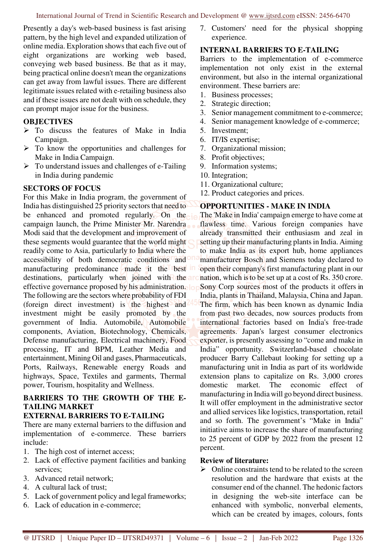Presently a day's web-based business is fast arising pattern, by the high level and expanded utilization of online media. Exploration shows that each five out of eight organizations are working web based, conveying web based business. Be that as it may, being practical online doesn't mean the organizations can get away from lawful issues. There are different legitimate issues related with e-retailing business also and if these issues are not dealt with on schedule, they can prompt major issue for the business.

## **OBJECTIVES**

- $\triangleright$  To discuss the features of Make in India Campaign.
- $\triangleright$  To know the opportunities and challenges for Make in India Campaign.
- $\triangleright$  To understand issues and challenges of e-Tailing in India during pandemic

## **SECTORS OF FOCUS**

For this Make in India program, the government of India has distinguished 25 priority sectors that need to be enhanced and promoted regularly. On the campaign launch, the Prime Minister Mr. Narendra Modi said that the development and improvement of these segments would guarantee that the world might readily come to Asia, particularly to India where the accessibility of both democratic conditions and manufacturing predominance made it the best in destinations, particularly when joined with the ar effective governance proposed by his administration. lo The following are the sectors where probability of FDI (foreign direct investment) is the highest and investment might be easily promoted by the government of India. Automobile, Automobile components, Aviation, Biotechnology, Chemicals, Defense manufacturing, Electrical machinery, Food processing, IT and BPM, Leather Media and entertainment, Mining Oil and gases, Pharmaceuticals, Ports, Railways, Renewable energy Roads and highways, Space, Textiles and garments, Thermal power, Tourism, hospitality and Wellness.

# **BARRIERS TO THE GROWTH OF THE E-TAILING MARKET**

# **EXTERNAL BARRIERS TO E-TAILING**

There are many external barriers to the diffusion and implementation of e-commerce. These barriers include:

- 1. The high cost of internet access;
- 2. Lack of effective payment facilities and banking services;
- 3. Advanced retail network;
- 4. A cultural lack of trust;
- 5. Lack of government policy and legal frameworks;
- 6. Lack of education in e-commerce;

7. Customers' need for the physical shopping experience.

## **INTERNAL BARRIERS TO E-TAILING**

Barriers to the implementation of e-commerce implementation not only exist in the external environment, but also in the internal organizational environment. These barriers are:

- 1. Business processes;
- 2. Strategic direction;
- 3. Senior management commitment to e-commerce;
- 4. Senior management knowledge of e-commerce;
- 5. Investment;
- 6. IT/IS expertise;
- 7. Organizational mission;
- 8. Profit objectives;
- 9. Information systems;
- 10. Integration;
- 11. Organizational culture;
- 12. Product categories and prices.

## **OPPORTUNITIES - MAKE IN INDIA**

The 'Make in India' campaign emerge to have come at flawless time. Various foreign companies have already transmitted their enthusiasm and zeal in setting up their manufacturing plants in India. Aiming to make India as its export hub, home appliances manufacturer Bosch and Siemens today declared to open their company"s first manufacturing plant in our nation, which is to be set up at a cost of Rs. 350 crore. Sony Corp sources most of the products it offers in India, plants in Thailand, Malaysia, China and Japan. The firm, which has been known as dynamic India from past two decades, now sources products from international factories based on India's free-trade agreements. Japan's largest consumer electronics exporter, is presently assessing to "come and make in India" opportunity. Switzerland-based chocolate producer Barry Callebaut looking for setting up a manufacturing unit in India as part of its worldwide extension plans to capitalize on Rs. 3,000 crores domestic market. The economic effect of manufacturing in India will go beyond direct business. It will offer employment in the administrative sector and allied services like logistics, transportation, retail and so forth. The government's "Make in India" initiative aims to increase the share of manufacturing to 25 percent of GDP by 2022 from the present 12 percent.

## **Review of literature:**

 $\triangleright$  Online constraints tend to be related to the screen resolution and the hardware that exists at the consumer end of the channel. The hedonic factors in designing the web-site interface can be enhanced with symbolic, nonverbal elements, which can be created by images, colours, fonts